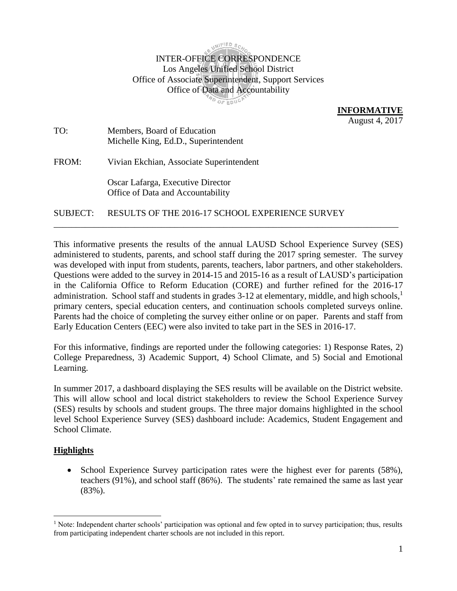**WIFIED** SO

# INTER-OFFICE CORRESPONDENCE Los Angeles Unified School District Office of Associate Superintendent, Support Services Office of Data and Accountability **AD OF EDUCK**

**INFORMATIVE**  August 4, 2017

TO: Members, Board of Education Michelle King, Ed.D., Superintendent

FROM: Vivian Ekchian, Associate Superintendent

Oscar Lafarga, Executive Director Office of Data and Accountability

SUBJECT: RESULTS OF THE 2016-17 SCHOOL EXPERIENCE SURVEY

This informative presents the results of the annual LAUSD School Experience Survey (SES) administered to students, parents, and school staff during the 2017 spring semester. The survey was developed with input from students, parents, teachers, labor partners, and other stakeholders. Questions were added to the survey in 2014-15 and 2015-16 as a result of LAUSD's participation in the California Office to Reform Education (CORE) and further refined for the 2016-17 administration. School staff and students in grades  $3-12$  at elementary, middle, and high schools,<sup>1</sup> primary centers, special education centers, and continuation schools completed surveys online. Parents had the choice of completing the survey either online or on paper. Parents and staff from Early Education Centers (EEC) were also invited to take part in the SES in 2016-17.

\_\_\_\_\_\_\_\_\_\_\_\_\_\_\_\_\_\_\_\_\_\_\_\_\_\_\_\_\_\_\_\_\_\_\_\_\_\_\_\_\_\_\_\_\_\_\_\_\_\_\_\_\_\_\_\_\_\_\_\_\_\_\_\_\_\_\_\_\_\_\_\_\_\_\_\_\_

For this informative, findings are reported under the following categories: 1) Response Rates, 2) College Preparedness, 3) Academic Support, 4) School Climate, and 5) Social and Emotional Learning.

In summer 2017, a dashboard displaying the SES results will be available on the District website. This will allow school and local district stakeholders to review the School Experience Survey (SES) results by schools and student groups. The three major domains highlighted in the school level School Experience Survey (SES) dashboard include: Academics, Student Engagement and School Climate.

# **Highlights**

 $\overline{a}$ 

• School Experience Survey participation rates were the highest ever for parents (58%), teachers (91%), and school staff (86%). The students' rate remained the same as last year (83%).

 $<sup>1</sup>$  Note: Independent charter schools' participation was optional and few opted in to survey participation; thus, results</sup> from participating independent charter schools are not included in this report.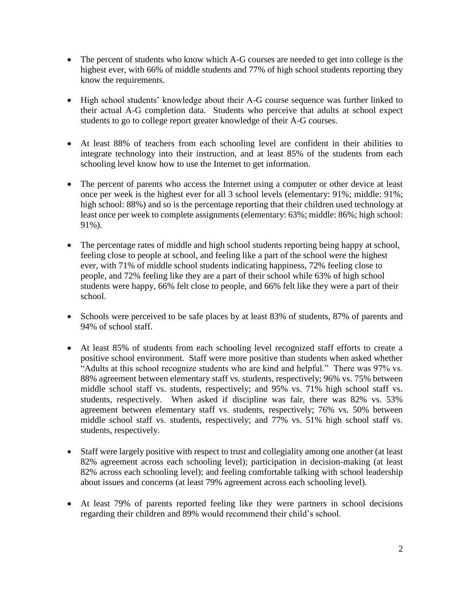- The percent of students who know which A-G courses are needed to get into college is the highest ever, with 66% of middle students and 77% of high school students reporting they know the requirements.
- High school students' knowledge about their A-G course sequence was further linked to their actual A-G completion data. Students who perceive that adults at school expect students to go to college report greater knowledge of their A-G courses.
- At least 88% of teachers from each schooling level are confident in their abilities to integrate technology into their instruction, and at least 85% of the students from each schooling level know how to use the Internet to get information.
- The percent of parents who access the Internet using a computer or other device at least once per week is the highest ever for all 3 school levels (elementary: 91%; middle: 91%; high school: 88%) and so is the percentage reporting that their children used technology at least once per week to complete assignments (elementary: 63%; middle: 86%; high school: 91%).
- The percentage rates of middle and high school students reporting being happy at school, feeling close to people at school, and feeling like a part of the school were the highest ever, with 71% of middle school students indicating happiness, 72% feeling close to people, and 72% feeling like they are a part of their school while 63% of high school students were happy, 66% felt close to people, and 66% felt like they were a part of their school.
- Schools were perceived to be safe places by at least 83% of students, 87% of parents and 94% of school staff.
- At least 85% of students from each schooling level recognized staff efforts to create a positive school environment. Staff were more positive than students when asked whether "Adults at this school recognize students who are kind and helpful." There was 97% vs. 88% agreement between elementary staff vs. students, respectively; 96% vs. 75% between middle school staff vs. students, respectively; and 95% vs. 71% high school staff vs. students, respectively. When asked if discipline was fair, there was 82% vs. 53% agreement between elementary staff vs. students, respectively; 76% vs. 50% between middle school staff vs. students, respectively; and 77% vs. 51% high school staff vs. students, respectively.
- Staff were largely positive with respect to trust and collegiality among one another (at least 82% agreement across each schooling level); participation in decision-making (at least 82% across each schooling level); and feeling comfortable talking with school leadership about issues and concerns (at least 79% agreement across each schooling level).
- At least 79% of parents reported feeling like they were partners in school decisions regarding their children and 89% would recommend their child's school.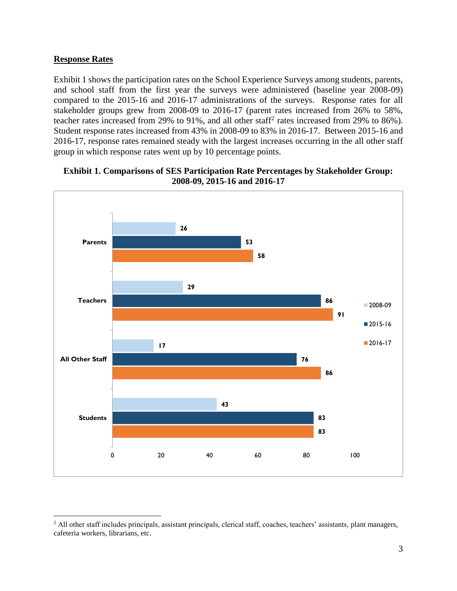### **Response Rates**

 $\overline{a}$ 

Exhibit 1 shows the participation rates on the School Experience Surveys among students, parents, and school staff from the first year the surveys were administered (baseline year 2008-09) compared to the 2015-16 and 2016-17 administrations of the surveys. Response rates for all stakeholder groups grew from 2008-09 to 2016-17 (parent rates increased from 26% to 58%, teacher rates increased from 29% to 91%, and all other staff<sup>2</sup> rates increased from 29% to 86%). Student response rates increased from 43% in 2008-09 to 83% in 2016-17. Between 2015-16 and 2016-17, response rates remained steady with the largest increases occurring in the all other staff group in which response rates went up by 10 percentage points.



#### **Exhibit 1. Comparisons of SES Participation Rate Percentages by Stakeholder Group: 2008-09, 2015-16 and 2016-17**

<sup>&</sup>lt;sup>2</sup> All other staff includes principals, assistant principals, clerical staff, coaches, teachers' assistants, plant managers, cafeteria workers, librarians, etc.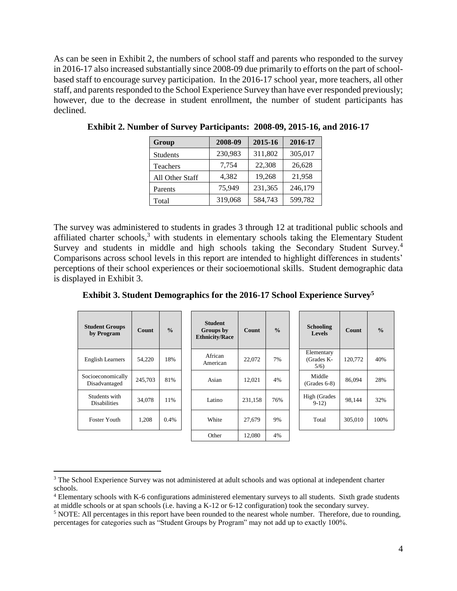As can be seen in Exhibit 2, the numbers of school staff and parents who responded to the survey in 2016-17 also increased substantially since 2008-09 due primarily to efforts on the part of schoolbased staff to encourage survey participation. In the 2016-17 school year, more teachers, all other staff, and parents responded to the School Experience Survey than have ever responded previously; however, due to the decrease in student enrollment, the number of student participants has declined.

| Group           | 2008-09 | 2015-16 | 2016-17 |
|-----------------|---------|---------|---------|
| <b>Students</b> | 230,983 | 311,802 | 305,017 |
| Teachers        | 7,754   | 22,308  | 26,628  |
| All Other Staff | 4,382   | 19,268  | 21,958  |
| Parents         | 75,949  | 231,365 | 246,179 |
| Total           | 319,068 | 584,743 | 599,782 |

**Exhibit 2. Number of Survey Participants: 2008-09, 2015-16, and 2016-17**

The survey was administered to students in grades 3 through 12 at traditional public schools and affiliated charter schools, $3$  with students in elementary schools taking the Elementary Student Survey and students in middle and high schools taking the Secondary Student Survey.<sup>4</sup> Comparisons across school levels in this report are intended to highlight differences in students' perceptions of their school experiences or their socioemotional skills. Student demographic data is displayed in Exhibit 3.

**Exhibit 3. Student Demographics for the 2016-17 School Experience Survey<sup>5</sup>**

| <b>Student Groups</b><br>by Program  | <b>Count</b> | $\frac{0}{0}$ | <b>Student</b><br>Groups by<br><b>Ethnicity/Race</b> | <b>Count</b> | $\frac{0}{0}$ | <b>Schooling</b><br><b>Levels</b> | <b>Count</b> | $\frac{0}{0}$ |
|--------------------------------------|--------------|---------------|------------------------------------------------------|--------------|---------------|-----------------------------------|--------------|---------------|
| <b>English Learners</b>              | 54,220       | 18%           | African<br>American                                  | 22,072       | 7%            | Elementary<br>(Grades K-<br>5/6   | 120,772      | 40%           |
| Socioeconomically<br>Disadvantaged   | 245,703      | 81%           | Asian                                                | 12.021       | 4%            | Middle<br>$(Grades 6-8)$          | 86,094       | 28%           |
| Students with<br><b>Disabilities</b> | 34,078       | 11%           | Latino                                               | 231,158      | 76%           | High (Grades<br>$9-12)$           | 98,144       | 32%           |
| Foster Youth                         | 1,208        | 0.4%          | White                                                | 27,679       | 9%            | Total                             | 305,010      | 100%          |
|                                      |              |               | Other                                                | 12.080       | 4%            |                                   |              |               |

<sup>&</sup>lt;sup>3</sup> The School Experience Survey was not administered at adult schools and was optional at independent charter schools.

<sup>4</sup> Elementary schools with K-6 configurations administered elementary surveys to all students. Sixth grade students at middle schools or at span schools (i.e. having a K-12 or 6-12 configuration) took the secondary survey.

<sup>5</sup> NOTE: All percentages in this report have been rounded to the nearest whole number. Therefore, due to rounding, percentages for categories such as "Student Groups by Program" may not add up to exactly 100%.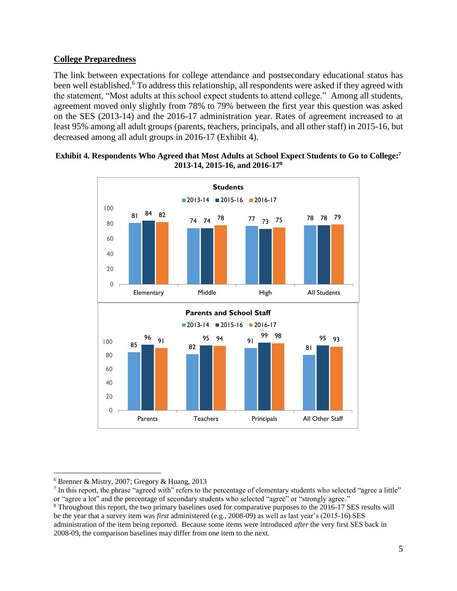# **College Preparedness**

The link between expectations for college attendance and postsecondary educational status has been well established.<sup>6</sup> To address this relationship, all respondents were asked if they agreed with the statement, "Most adults at this school expect students to attend college." Among all students, agreement moved only slightly from 78% to 79% between the first year this question was asked on the SES (2013-14) and the 2016-17 administration year. Rates of agreement increased to at least 95% among all adult groups (parents, teachers, principals, and all other staff) in 2015-16, but decreased among all adult groups in 2016-17 (Exhibit 4).



#### **Exhibit 4. Respondents Who Agreed that Most Adults at School Expect Students to Go to College: 7 2013-14, 2015-16, and 2016-17<sup>8</sup>**

 $\overline{a}$ 

Parents Teachers Principals All Other Staff

 $6$  Brenner & Mistry, 2007; Gregory & Huang, 2013

<sup>7</sup> In this report, the phrase "agreed with" refers to the percentage of elementary students who selected "agree a little" or "agree a lot" and the percentage of secondary students who selected "agree" or "strongly agree."

<sup>8</sup> Throughout this report, the two primary baselines used for comparative purposes to the 2016-17 SES results will be the year that a survey item was *first* administered (e.g., 2008-09) as well as last year's (2015-16) SES administration of the item being reported. Because some items were introduced *after* the very first SES back in 2008-09, the comparison baselines may differ from one item to the next.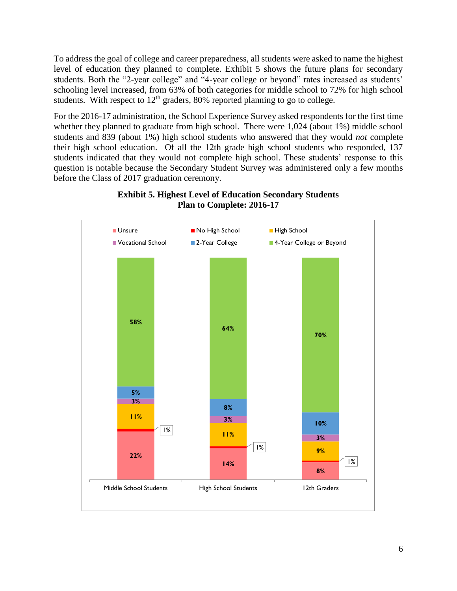To address the goal of college and career preparedness, all students were asked to name the highest level of education they planned to complete. Exhibit 5 shows the future plans for secondary students. Both the "2-year college" and "4-year college or beyond" rates increased as students' schooling level increased, from 63% of both categories for middle school to 72% for high school students. With respect to  $12<sup>th</sup>$  graders, 80% reported planning to go to college.

For the 2016-17 administration, the School Experience Survey asked respondents for the first time whether they planned to graduate from high school. There were 1,024 (about 1%) middle school students and 839 (about 1%) high school students who answered that they would *not* complete their high school education. Of all the 12th grade high school students who responded, 137 students indicated that they would not complete high school. These students' response to this question is notable because the Secondary Student Survey was administered only a few months before the Class of 2017 graduation ceremony.



### **Exhibit 5. Highest Level of Education Secondary Students Plan to Complete: 2016-17**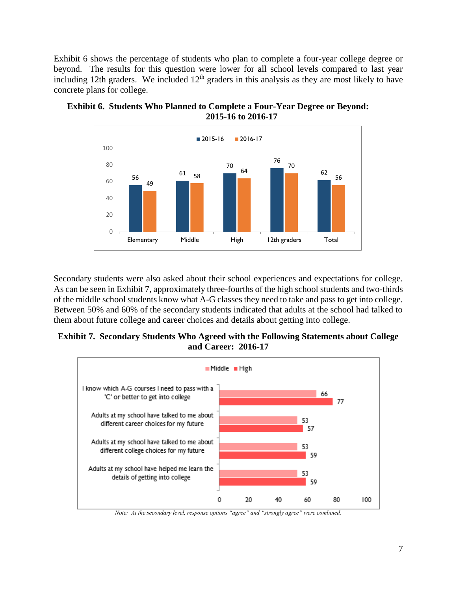Exhibit 6 shows the percentage of students who plan to complete a four-year college degree or beyond. The results for this question were lower for all school levels compared to last year including 12th graders. We included  $12<sup>th</sup>$  graders in this analysis as they are most likely to have concrete plans for college.



**Exhibit 6. Students Who Planned to Complete a Four-Year Degree or Beyond: 2015-16 to 2016-17** 

Secondary students were also asked about their school experiences and expectations for college. As can be seen in Exhibit 7, approximately three-fourths of the high school students and two-thirds of the middle school students know what A-G classes they need to take and pass to get into college. Between 50% and 60% of the secondary students indicated that adults at the school had talked to them about future college and career choices and details about getting into college.

# **Exhibit 7. Secondary Students Who Agreed with the Following Statements about College and Career: 2016-17**



*Note: At the secondary level, response options "agree" and "strongly agree" were combined.*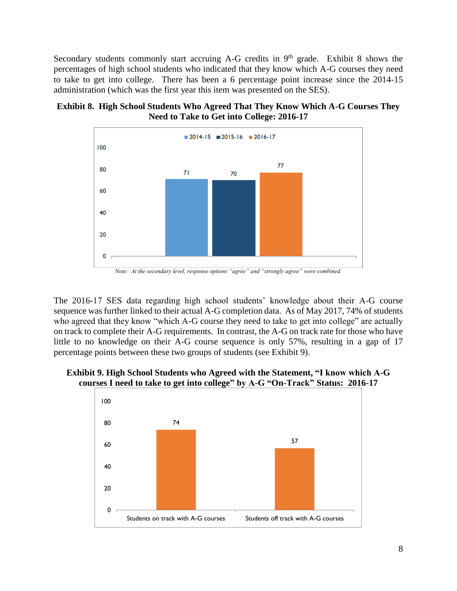Secondary students commonly start accruing A-G credits in  $9<sup>th</sup>$  grade. Exhibit 8 shows the percentages of high school students who indicated that they know which A-G courses they need to take to get into college. There has been a 6 percentage point increase since the 2014-15 administration (which was the first year this item was presented on the SES).





The 2016-17 SES data regarding high school students' knowledge about their A-G course sequence was further linked to their actual A-G completion data. As of May 2017, 74% of students who agreed that they know "which A-G course they need to take to get into college" are actually on track to complete their A-G requirements. In contrast, the A-G on track rate for those who have little to no knowledge on their A-G course sequence is only 57%, resulting in a gap of 17 percentage points between these two groups of students (see Exhibit 9).



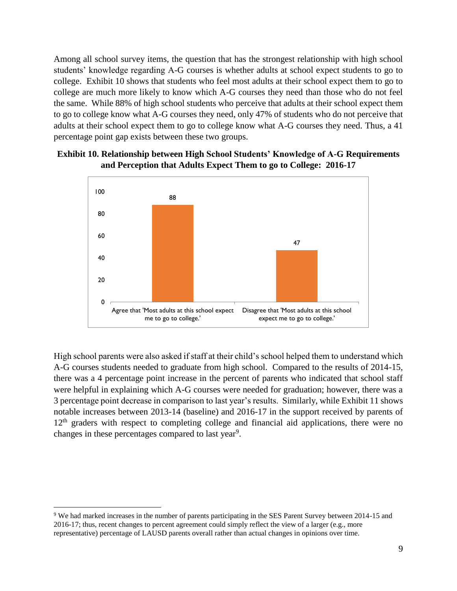Among all school survey items, the question that has the strongest relationship with high school students' knowledge regarding A-G courses is whether adults at school expect students to go to college. Exhibit 10 shows that students who feel most adults at their school expect them to go to college are much more likely to know which A-G courses they need than those who do not feel the same. While 88% of high school students who perceive that adults at their school expect them to go to college know what A-G courses they need, only 47% of students who do not perceive that adults at their school expect them to go to college know what A-G courses they need. Thus, a 41 percentage point gap exists between these two groups.

# **Exhibit 10. Relationship between High School Students' Knowledge of A-G Requirements and Perception that Adults Expect Them to go to College: 2016-17**



High school parents were also asked if staff at their child's school helped them to understand which A-G courses students needed to graduate from high school. Compared to the results of 2014-15, there was a 4 percentage point increase in the percent of parents who indicated that school staff were helpful in explaining which A-G courses were needed for graduation; however, there was a 3 percentage point decrease in comparison to last year's results. Similarly, while Exhibit 11 shows notable increases between 2013-14 (baseline) and 2016-17 in the support received by parents of  $12<sup>th</sup>$  graders with respect to completing college and financial aid applications, there were no changes in these percentages compared to last year<sup>9</sup>.

 $\overline{a}$ <sup>9</sup> We had marked increases in the number of parents participating in the SES Parent Survey between 2014-15 and 2016-17; thus, recent changes to percent agreement could simply reflect the view of a larger (e.g., more representative) percentage of LAUSD parents overall rather than actual changes in opinions over time.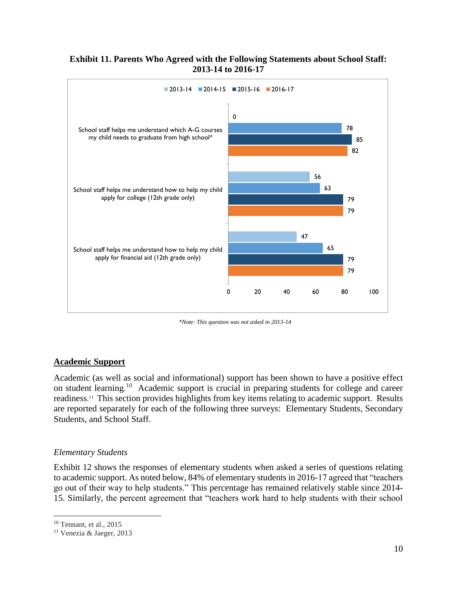#### **Exhibit 11. Parents Who Agreed with the Following Statements about School Staff: 2013-14 to 2016-17**



*\*Note: This question was not asked in 2013-14*

# **Academic Support**

Academic (as well as social and informational) support has been shown to have a positive effect on student learning.<sup>10</sup> Academic support is crucial in preparing students for college and career readiness. 11 This section provides highlights from key items relating to academic support. Results are reported separately for each of the following three surveys: Elementary Students, Secondary Students, and School Staff.

#### *Elementary Students*

Exhibit 12 shows the responses of elementary students when asked a series of questions relating to academic support. As noted below, 84% of elementary students in 2016-17 agreed that "teachers go out of their way to help students." This percentage has remained relatively stable since 2014- 15. Similarly, the percent agreement that "teachers work hard to help students with their school

<sup>10</sup> Tennant, et al., 2015

<sup>11</sup> Venezia & Jaeger, 2013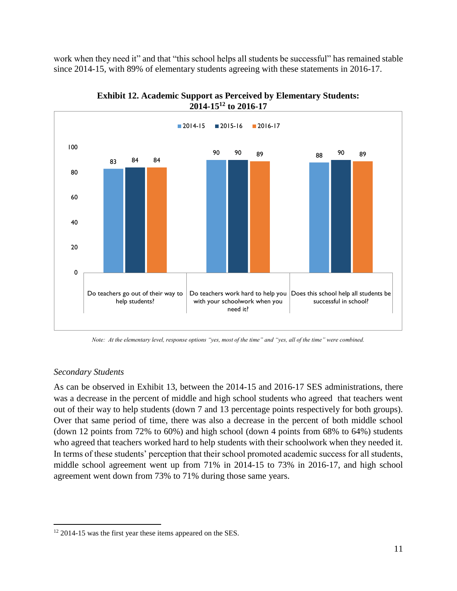work when they need it" and that "this school helps all students be successful" has remained stable since 2014-15, with 89% of elementary students agreeing with these statements in 2016-17.



**Exhibit 12. Academic Support as Perceived by Elementary Students: 2014-15<sup>12</sup> to 2016-17**

*Note: At the elementary level, response options "yes, most of the time" and "yes, all of the time" were combined.*

# *Secondary Students*

 $\overline{a}$ 

As can be observed in Exhibit 13, between the 2014-15 and 2016-17 SES administrations, there was a decrease in the percent of middle and high school students who agreed that teachers went out of their way to help students (down 7 and 13 percentage points respectively for both groups). Over that same period of time, there was also a decrease in the percent of both middle school (down 12 points from 72% to 60%) and high school (down 4 points from 68% to 64%) students who agreed that teachers worked hard to help students with their schoolwork when they needed it. In terms of these students' perception that their school promoted academic success for all students, middle school agreement went up from 71% in 2014-15 to 73% in 2016-17, and high school agreement went down from 73% to 71% during those same years.

<sup>&</sup>lt;sup>12</sup> 2014-15 was the first year these items appeared on the SES.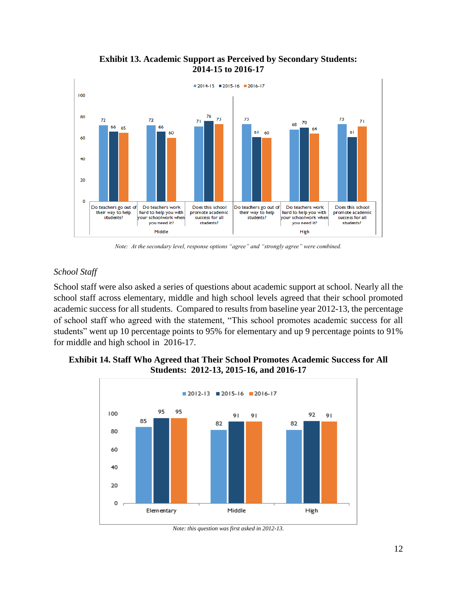

**Exhibit 13. Academic Support as Perceived by Secondary Students: 2014-15 to 2016-17**

*Note: At the secondary level, response options "agree" and "strongly agree" were combined.*

# *School Staff*

School staff were also asked a series of questions about academic support at school. Nearly all the school staff across elementary, middle and high school levels agreed that their school promoted academic success for all students. Compared to results from baseline year 2012-13, the percentage of school staff who agreed with the statement, "This school promotes academic success for all students" went up 10 percentage points to 95% for elementary and up 9 percentage points to 91% for middle and high school in 2016-17.

# **Exhibit 14. Staff Who Agreed that Their School Promotes Academic Success for All Students: 2012-13, 2015-16, and 2016-17**



*Note: this question was first asked in 2012-13.*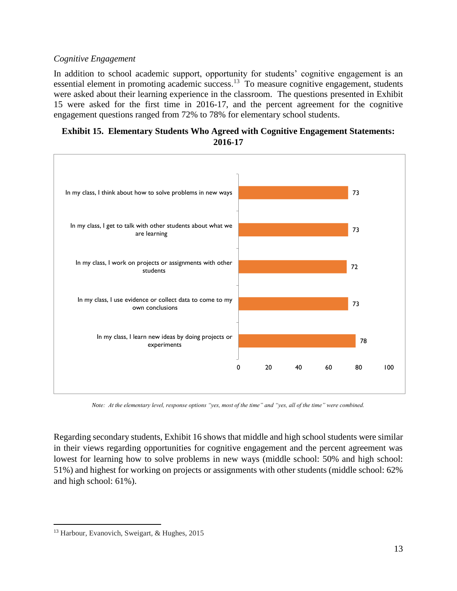# *Cognitive Engagement*

In addition to school academic support, opportunity for students' cognitive engagement is an essential element in promoting academic success.<sup>13</sup> To measure cognitive engagement, students were asked about their learning experience in the classroom. The questions presented in Exhibit 15 were asked for the first time in 2016-17, and the percent agreement for the cognitive engagement questions ranged from 72% to 78% for elementary school students.

# **Exhibit 15. Elementary Students Who Agreed with Cognitive Engagement Statements: 2016-17**



*Note: At the elementary level, response options "yes, most of the time" and "yes, all of the time" were combined.*

Regarding secondary students, Exhibit 16 shows that middle and high school students were similar in their views regarding opportunities for cognitive engagement and the percent agreement was lowest for learning how to solve problems in new ways (middle school: 50% and high school: 51%) and highest for working on projects or assignments with other students (middle school: 62% and high school: 61%).

<sup>&</sup>lt;sup>13</sup> Harbour, Evanovich, Sweigart, & Hughes, 2015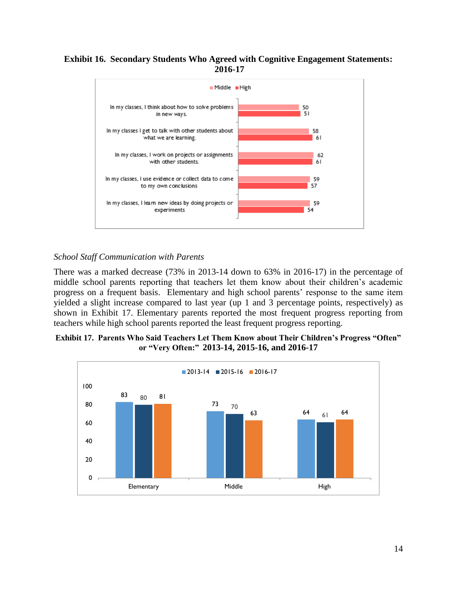### **Exhibit 16. Secondary Students Who Agreed with Cognitive Engagement Statements: 2016-17**



### *School Staff Communication with Parents*

There was a marked decrease (73% in 2013-14 down to 63% in 2016-17) in the percentage of middle school parents reporting that teachers let them know about their children's academic progress on a frequent basis. Elementary and high school parents' response to the same item yielded a slight increase compared to last year (up 1 and 3 percentage points, respectively) as shown in [Exhibit 1](#page-13-0)7. Elementary parents reported the most frequent progress reporting from teachers while high school parents reported the least frequent progress reporting.

#### <span id="page-13-0"></span>**Exhibit 17. Parents Who Said Teachers Let Them Know about Their Children's Progress "Often" or "Very Often:" 2013-14, 2015-16, and 2016-17**

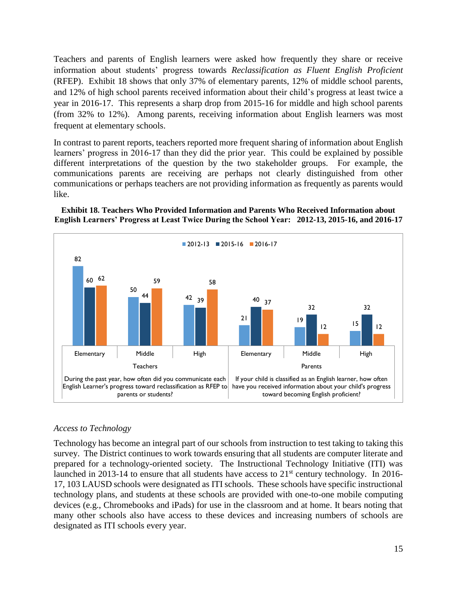Teachers and parents of English learners were asked how frequently they share or receive information about students' progress towards *Reclassification as Fluent English Proficient* (RFEP). Exhibit 18 shows that only 37% of elementary parents, 12% of middle school parents, and 12% of high school parents received information about their child's progress at least twice a year in 2016-17. This represents a sharp drop from 2015-16 for middle and high school parents (from 32% to 12%). Among parents, receiving information about English learners was most frequent at elementary schools.

In contrast to parent reports, teachers reported more frequent sharing of information about English learners' progress in 2016-17 than they did the prior year. This could be explained by possible different interpretations of the question by the two stakeholder groups. For example, the communications parents are receiving are perhaps not clearly distinguished from other communications or perhaps teachers are not providing information as frequently as parents would like.





# *Access to Technology*

Technology has become an integral part of our schools from instruction to test taking to taking this survey. The District continues to work towards ensuring that all students are computer literate and prepared for a technology-oriented society. The Instructional Technology Initiative (ITI) was launched in 2013-14 to ensure that all students have access to  $21<sup>st</sup>$  century technology. In 2016-17, 103 LAUSD schools were designated as ITI schools. These schools have specific instructional technology plans, and students at these schools are provided with one-to-one mobile computing devices (e.g., Chromebooks and iPads) for use in the classroom and at home. It bears noting that many other schools also have access to these devices and increasing numbers of schools are designated as ITI schools every year.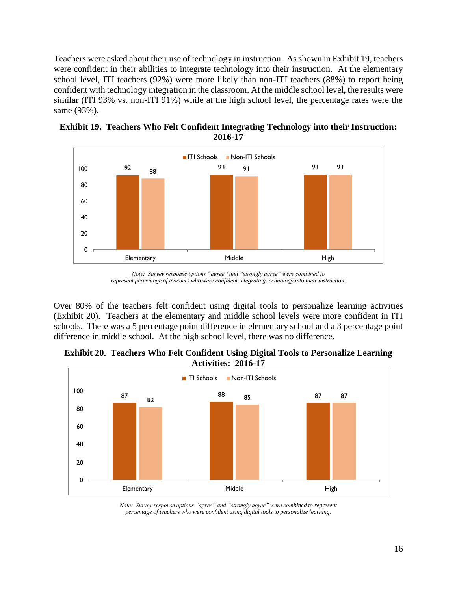Teachers were asked about their use of technology in instruction. As shown in Exhibit 19, teachers were confident in their abilities to integrate technology into their instruction. At the elementary school level, ITI teachers (92%) were more likely than non-ITI teachers (88%) to report being confident with technology integration in the classroom. At the middle school level, the results were similar (ITI 93% vs. non-ITI 91%) while at the high school level, the percentage rates were the same (93%).



**Exhibit 19. Teachers Who Felt Confident Integrating Technology into their Instruction: 2016-17**

Over 80% of the teachers felt confident using digital tools to personalize learning activities (Exhibit 20). Teachers at the elementary and middle school levels were more confident in ITI schools. There was a 5 percentage point difference in elementary school and a 3 percentage point difference in middle school. At the high school level, there was no difference.





*Note: Survey response options "agree" and "strongly agree" were combined to represent percentage of teachers who were confident using digital tools to personalize learning.*

*Note: Survey response options "agree" and "strongly agree" were combined to represent percentage of teachers who were confident integrating technology into their instruction.*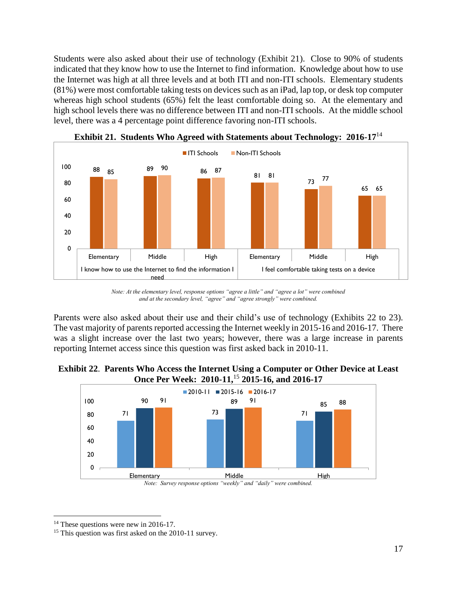Students were also asked about their use of technology (Exhibit 21). Close to 90% of students indicated that they know how to use the Internet to find information. Knowledge about how to use the Internet was high at all three levels and at both ITI and non-ITI schools. Elementary students (81%) were most comfortable taking tests on devices such as an iPad, lap top, or desk top computer whereas high school students (65%) felt the least comfortable doing so. At the elementary and high school levels there was no difference between ITI and non-ITI schools. At the middle school level, there was a 4 percentage point difference favoring non-ITI schools.



**Exhibit 21. Students Who Agreed with Statements about Technology: 2016-17**<sup>14</sup>

Parents were also asked about their use and their child's use of technology (Exhibits 22 to 23). The vast majority of parents reported accessing the Internet weekly in 2015-16 and 2016-17. There was a slight increase over the last two years; however, there was a large increase in parents reporting Internet access since this question was first asked back in 2010-11.





 $\overline{a}$ <sup>14</sup> These questions were new in 2016-17.

*Note: At the elementary level, response options "agree a little" and "agree a lot" were combined and at the secondary level, "agree" and "agree strongly" were combined.* 

<sup>&</sup>lt;sup>15</sup> This question was first asked on the 2010-11 survey.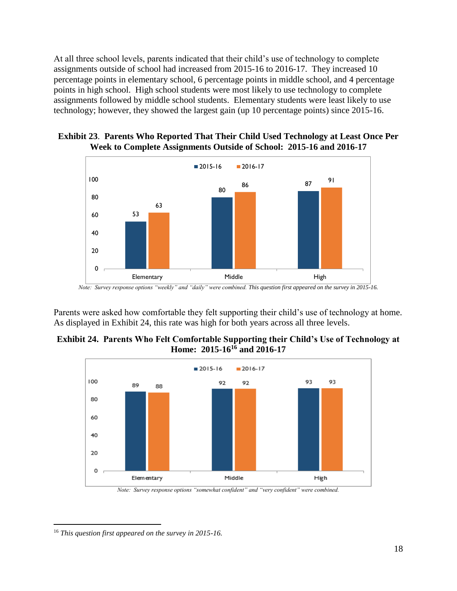At all three school levels, parents indicated that their child's use of technology to complete assignments outside of school had increased from 2015-16 to 2016-17. They increased 10 percentage points in elementary school, 6 percentage points in middle school, and 4 percentage points in high school. High school students were most likely to use technology to complete assignments followed by middle school students. Elementary students were least likely to use technology; however, they showed the largest gain (up 10 percentage points) since 2015-16.





*Note: Survey response options "weekly" and "daily" were combined. This question first appeared on the survey in 2015-16.*

Parents were asked how comfortable they felt supporting their child's use of technology at home. As displayed in Exhibit 24, this rate was high for both years across all three levels.





*Note: Survey response options "somewhat confident" and "very confident" were combined.* 

 $\overline{a}$ <sup>16</sup> *This question first appeared on the survey in 2015-16.*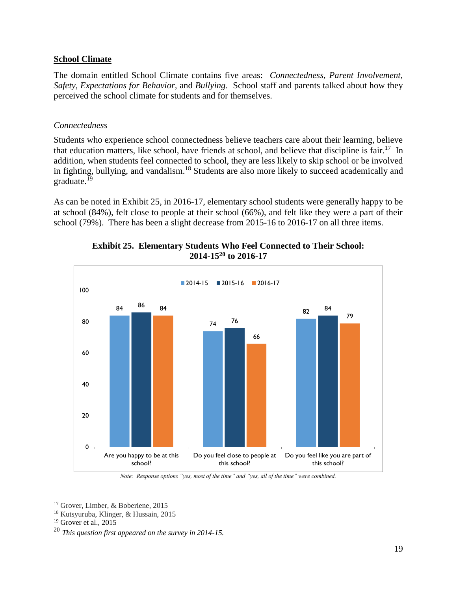### **School Climate**

The domain entitled School Climate contains five areas: *Connectedness, Parent Involvement, Safety, Expectations for Behavior,* and *Bullying*. School staff and parents talked about how they perceived the school climate for students and for themselves.

### *Connectedness*

Students who experience school connectedness believe teachers care about their learning, believe that education matters, like school, have friends at school, and believe that discipline is fair.<sup>17</sup> In addition, when students feel connected to school, they are less likely to skip school or be involved in fighting, bullying, and vandalism.<sup>18</sup> Students are also more likely to succeed academically and graduate. 19

As can be noted in Exhibit 25, in 2016-17, elementary school students were generally happy to be at school (84%), felt close to people at their school (66%), and felt like they were a part of their school (79%). There has been a slight decrease from 2015-16 to 2016-17 on all three items.



# **Exhibit 25. Elementary Students Who Feel Connected to Their School: 2014-15<sup>20</sup> to 2016-17**

*Note: Response options "yes, most of the time" and "yes, all of the time" were combined.* 

<sup>&</sup>lt;sup>17</sup> Grover, Limber, & Boberiene, 2015

<sup>18</sup> Kutsyuruba, Klinger, & Hussain, 2015

 $19$  Grover et al., 2015

<sup>20</sup> *This question first appeared on the survey in 2014-15.*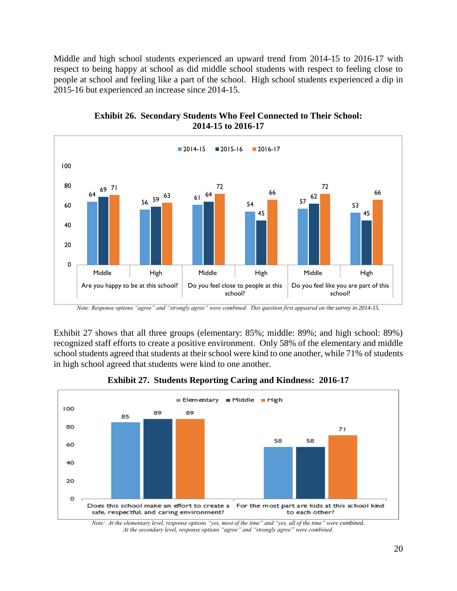Middle and high school students experienced an upward trend from 2014-15 to 2016-17 with respect to being happy at school as did middle school students with respect to feeling close to people at school and feeling like a part of the school. High school students experienced a dip in 2015-16 but experienced an increase since 2014-15.





Exhibit 27 shows that all three groups (elementary: 85%; middle: 89%; and high school: 89%) recognized staff efforts to create a positive environment. Only 58% of the elementary and middle school students agreed that students at their school were kind to one another, while 71% of students in high school agreed that students were kind to one another.



**Exhibit 27. Students Reporting Caring and Kindness: 2016-17**

*Note: At the elementary level, response options "yes, most of the time" and "yes, all of the time" were combined. At the secondary level, response options "agree" and "strongly agree" were combined.*

*Note: Response options "agree" and "strongly agree" were combined. This question first appeared on the survey in 2014-15.*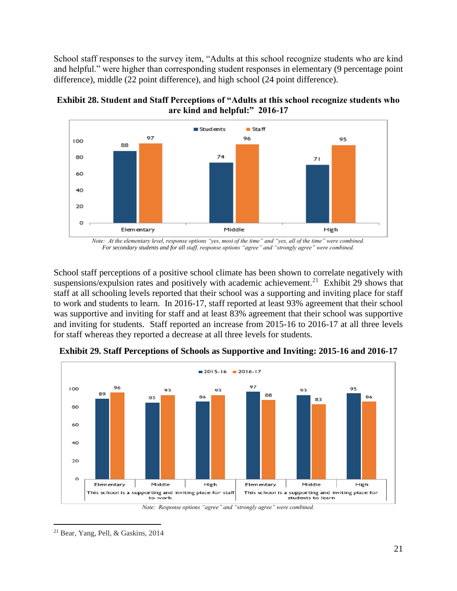School staff responses to the survey item, "Adults at this school recognize students who are kind and helpful." were higher than corresponding student responses in elementary (9 percentage point difference), middle (22 point difference), and high school (24 point difference).



**Exhibit 28. Student and Staff Perceptions of "Adults at this school recognize students who are kind and helpful:" 2016-17**

*Note: At the elementary level, response options "yes, most of the time" and "yes, all of the time" were combined. For secondary students and for all staff, response options "agree" and "strongly agree" were combined.*

School staff perceptions of a positive school climate has been shown to correlate negatively with suspensions/expulsion rates and positively with academic achievement.<sup>21</sup> Exhibit 29 shows that staff at all schooling levels reported that their school was a supporting and inviting place for staff to work and students to learn. In 2016-17, staff reported at least 93% agreement that their school was supportive and inviting for staff and at least 83% agreement that their school was supportive and inviting for students. Staff reported an increase from 2015-16 to 2016-17 at all three levels for staff whereas they reported a decrease at all three levels for students.



**Exhibit 29. Staff Perceptions of Schools as Supportive and Inviting: 2015-16 and 2016-17**

*Note: Response options "agree" and "strongly agree" were combined.*

 $\overline{a}$ <sup>21</sup> Bear, Yang, Pell, & Gaskins, 2014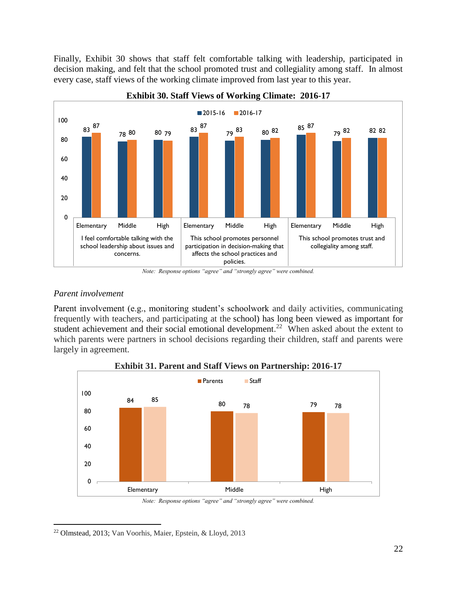Finally, Exhibit 30 shows that staff felt comfortable talking with leadership, participated in decision making, and felt that the school promoted trust and collegiality among staff. In almost every case, staff views of the working climate improved from last year to this year.



#### **Exhibit 30. Staff Views of Working Climate: 2016-17**

### *Parent involvement*

Parent involvement (e.g., monitoring student's schoolwork and daily activities, communicating frequently with teachers, and participating at the school) has long been viewed as important for student achievement and their social emotional development.<sup>22</sup> When asked about the extent to which parents were partners in school decisions regarding their children, staff and parents were largely in agreement.



**Exhibit 31. Parent and Staff Views on Partnership: 2016-17**

*Note: Response options "agree" and "strongly agree" were combined.*

*Note: Response options "agree" and "strongly agree" were combined.*

 $\overline{a}$ <sup>22</sup> Olmstead, 2013; Van Voorhis, Maier, Epstein, & Lloyd, 2013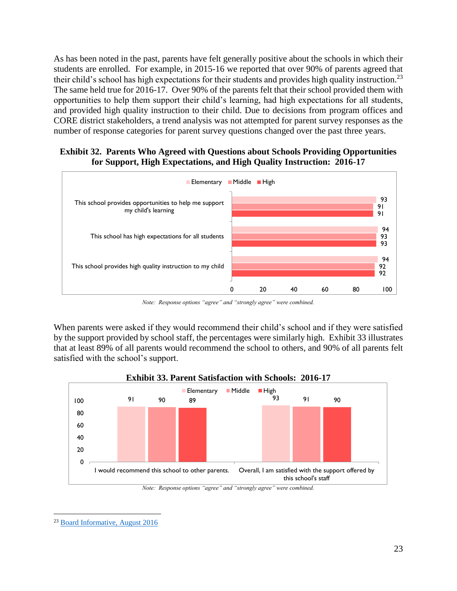As has been noted in the past, parents have felt generally positive about the schools in which their students are enrolled. For example, in 2015-16 we reported that over 90% of parents agreed that their child's school has high expectations for their students and provides high quality instruction.<sup>23</sup> The same held true for 2016-17. Over 90% of the parents felt that their school provided them with opportunities to help them support their child's learning, had high expectations for all students, and provided high quality instruction to their child. Due to decisions from program offices and CORE district stakeholders, a trend analysis was not attempted for parent survey responses as the number of response categories for parent survey questions changed over the past three years.

# **Exhibit 32. Parents Who Agreed with Questions about Schools Providing Opportunities for Support, High Expectations, and High Quality Instruction: 2016-17**



*Note: Response options "agree" and "strongly agree" were combined.*

When parents were asked if they would recommend their child's school and if they were satisfied by the support provided by school staff, the percentages were similarly high. Exhibit 33 illustrates that at least 89% of all parents would recommend the school to others, and 90% of all parents felt satisfied with the school's support.



#### **Exhibit 33. Parent Satisfaction with Schools: 2016-17**

*Note: Response options "agree" and "strongly agree" were combined.*

<sup>23</sup> [Board Informative, August 2016](https://achieve.lausd.net/cms/lib/CA01000043/Centricity/domain/183/board%20informatives/2015-2016/SES-Informative_2015-2016_8-17-16.pdf)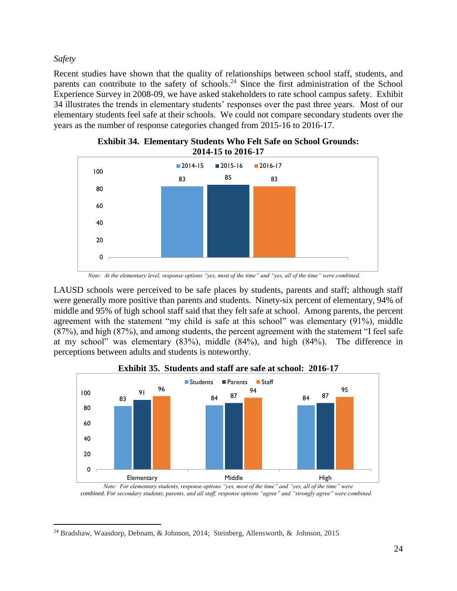*Safety*

 $\overline{a}$ 

Recent studies have shown that the quality of relationships between school staff, students, and parents can contribute to the safety of schools.<sup>24</sup> Since the first administration of the School Experience Survey in 2008-09, we have asked stakeholders to rate school campus safety. Exhibit 34 illustrates the trends in elementary students' responses over the past three years. Most of our elementary students feel safe at their schools. We could not compare secondary students over the years as the number of response categories changed from 2015-16 to 2016-17.



**Exhibit 34. Elementary Students Who Felt Safe on School Grounds: 2014-15 to 2016-17**

 *Note: At the elementary level, response options "yes, most of the time" and "yes, all of the time" were combined.*

LAUSD schools were perceived to be safe places by students, parents and staff; although staff were generally more positive than parents and students. Ninety-six percent of elementary, 94% of middle and 95% of high school staff said that they felt safe at school. Among parents, the percent agreement with the statement "my child is safe at this school" was elementary (91%), middle (87%), and high (87%), and among students, the percent agreement with the statement "I feel safe at my school" was elementary (83%), middle (84%), and high (84%). The difference in perceptions between adults and students is noteworthy.



**Exhibit 35. Students and staff are safe at school: 2016-17**

*Note: For elementary students, response options "yes, most of the time" and "yes, all of the time" were combined. For secondary students, parents, and all staff, response options "agree" and "strongly agree" were combined.*

<sup>24</sup> Bradshaw, Waasdorp, Debnam, & Johnson, 2014; Steinberg, Allensworth, & Johnson, 2015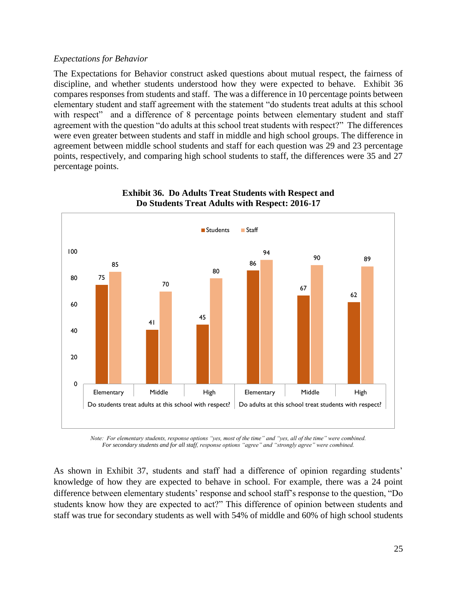#### *Expectations for Behavior*

The Expectations for Behavior construct asked questions about mutual respect, the fairness of discipline, and whether students understood how they were expected to behave. Exhibit 36 compares responses from students and staff. The was a difference in 10 percentage points between elementary student and staff agreement with the statement "do students treat adults at this school with respect" and a difference of 8 percentage points between elementary student and staff agreement with the question "do adults at this school treat students with respect?" The differences were even greater between students and staff in middle and high school groups. The difference in agreement between middle school students and staff for each question was 29 and 23 percentage points, respectively, and comparing high school students to staff, the differences were 35 and 27 percentage points.



# **Exhibit 36. Do Adults Treat Students with Respect and Do Students Treat Adults with Respect: 2016-17**

*Note: For elementary students, response options "yes, most of the time" and "yes, all of the time" were combined. For secondary students and for all staff, response options "agree" and "strongly agree" were combined.*

As shown in Exhibit 37, students and staff had a difference of opinion regarding students' knowledge of how they are expected to behave in school. For example, there was a 24 point difference between elementary students' response and school staff's response to the question, "Do students know how they are expected to act?" This difference of opinion between students and staff was true for secondary students as well with 54% of middle and 60% of high school students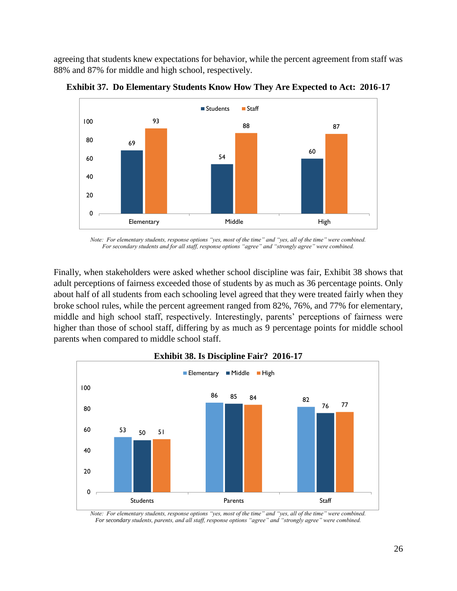agreeing that students knew expectations for behavior, while the percent agreement from staff was 88% and 87% for middle and high school, respectively.



**Exhibit 37. Do Elementary Students Know How They Are Expected to Act: 2016-17**

*Note: For elementary students, response options "yes, most of the time" and "yes, all of the time" were combined. For secondary students and for all staff, response options "agree" and "strongly agree" were combined.*

Finally, when stakeholders were asked whether school discipline was fair, Exhibit 38 shows that adult perceptions of fairness exceeded those of students by as much as 36 percentage points. Only about half of all students from each schooling level agreed that they were treated fairly when they broke school rules, while the percent agreement ranged from 82%, 76%, and 77% for elementary, middle and high school staff, respectively. Interestingly, parents' perceptions of fairness were higher than those of school staff, differing by as much as 9 percentage points for middle school parents when compared to middle school staff.



#### **Exhibit 38. Is Discipline Fair? 2016-17**

*Note: For elementary students, response options "yes, most of the time" and "yes, all of the time" were combined. For secondary students, parents, and all staff, response options "agree" and "strongly agree" were combined.*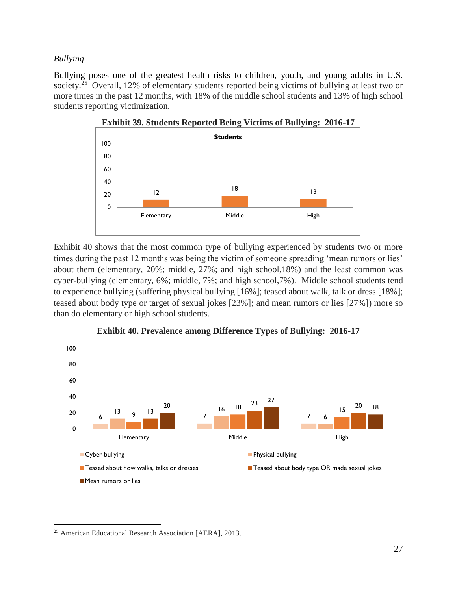# *Bullying*

Bullying poses one of the greatest health risks to children, youth, and young adults in U.S. society.<sup>25</sup> Overall, 12% of elementary students reported being victims of bullying at least two or more times in the past 12 months, with 18% of the middle school students and 13% of high school students reporting victimization.



Exhibit 40 shows that the most common type of bullying experienced by students two or more times during the past 12 months was being the victim of someone spreading 'mean rumors or lies' about them (elementary, 20%; middle, 27%; and high school,18%) and the least common was cyber-bullying (elementary, 6%; middle, 7%; and high school,7%). Middle school students tend to experience bullying (suffering physical bullying [16%]; teased about walk, talk or dress [18%]; teased about body type or target of sexual jokes [23%]; and mean rumors or lies [27%]) more so than do elementary or high school students.



**Exhibit 40. Prevalence among Difference Types of Bullying: 2016-17**

 $\overline{a}$ <sup>25</sup> American Educational Research Association [AERA], 2013.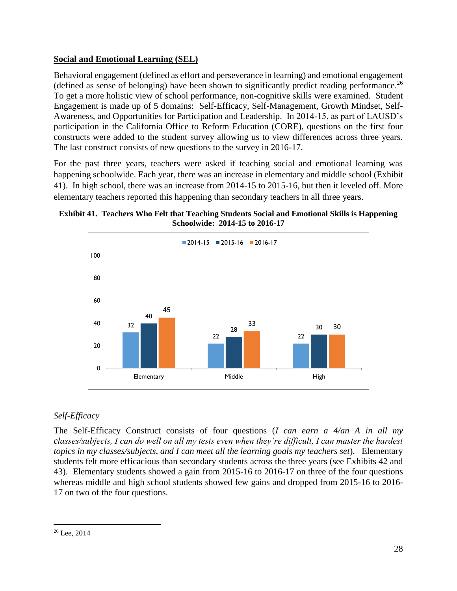# **Social and Emotional Learning (SEL)**

Behavioral engagement (defined as effort and perseverance in learning) and emotional engagement (defined as sense of belonging) have been shown to significantly predict reading performance. 26 To get a more holistic view of school performance, non-cognitive skills were examined. Student Engagement is made up of 5 domains: Self-Efficacy, Self-Management, Growth Mindset, Self-Awareness, and Opportunities for Participation and Leadership. In 2014-15, as part of LAUSD's participation in the California Office to Reform Education (CORE), questions on the first four constructs were added to the student survey allowing us to view differences across three years. The last construct consists of new questions to the survey in 2016-17.

For the past three years, teachers were asked if teaching social and emotional learning was happening schoolwide. Each year, there was an increase in elementary and middle school (Exhibit 41). In high school, there was an increase from 2014-15 to 2015-16, but then it leveled off. More elementary teachers reported this happening than secondary teachers in all three years.





# *Self-Efficacy*

The Self-Efficacy Construct consists of four questions (*I can earn a 4/an A in all my classes/subjects, I can do well on all my tests even when they're difficult, I can master the hardest topics in my classes/subjects, and I can meet all the learning goals my teachers set*). Elementary students felt more efficacious than secondary students across the three years (see Exhibits 42 and 43). Elementary students showed a gain from 2015-16 to 2016-17 on three of the four questions whereas middle and high school students showed few gains and dropped from 2015-16 to 2016- 17 on two of the four questions.

<sup>26</sup> Lee, 2014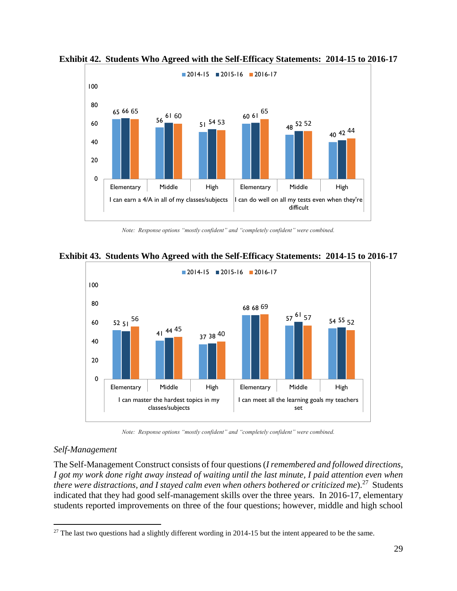

**Exhibit 42. Students Who Agreed with the Self-Efficacy Statements: 2014-15 to 2016-17**

*Note: Response options "mostly confident" and "completely confident" were combined.*

**Exhibit 43. Students Who Agreed with the Self-Efficacy Statements: 2014-15 to 2016-17**



*Note: Response options "mostly confident" and "completely confident" were combined.*

# *Self-Management*

 $\overline{a}$ 

The Self-Management Construct consists of four questions (*I remembered and followed directions, I got my work done right away instead of waiting until the last minute, I paid attention even when*  there were distractions, and I stayed calm even when others bothered or criticized me).<sup>27</sup> Students indicated that they had good self-management skills over the three years. In 2016-17, elementary students reported improvements on three of the four questions; however, middle and high school

<sup>&</sup>lt;sup>27</sup> The last two questions had a slightly different wording in 2014-15 but the intent appeared to be the same.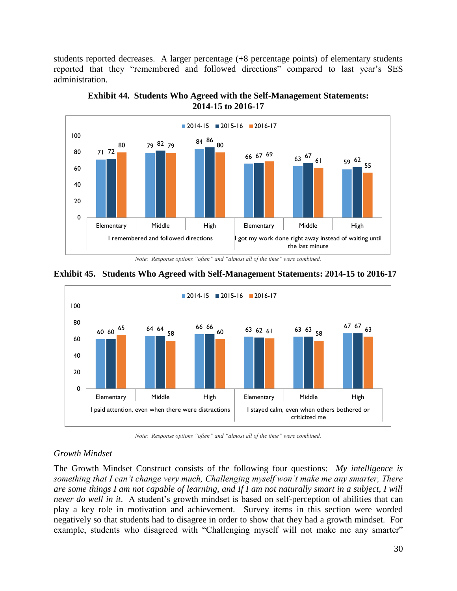students reported decreases. A larger percentage (+8 percentage points) of elementary students reported that they "remembered and followed directions" compared to last year's SES administration.



**Exhibit 44. Students Who Agreed with the Self-Management Statements: 2014-15 to 2016-17**

*Note: Response options "often" and "almost all of the time" were combined.*



**Exhibit 45. Students Who Agreed with Self-Management Statements: 2014-15 to 2016-17**

*Note: Response options "often" and "almost all of the time" were combined.*

I paid attention, even when there were distractions I I stayed calm, even when others bothered or

criticized me

# *Growth Mindset*

The Growth Mindset Construct consists of the following four questions: *My intelligence is something that I can't change very much, Challenging myself won't make me any smarter, There are some things I am not capable of learning, and If I am not naturally smart in a subject, I will never do well in it*. A student's growth mindset is based on self-perception of abilities that can play a key role in motivation and achievement. Survey items in this section were worded negatively so that students had to disagree in order to show that they had a growth mindset. For example, students who disagreed with "Challenging myself will not make me any smarter"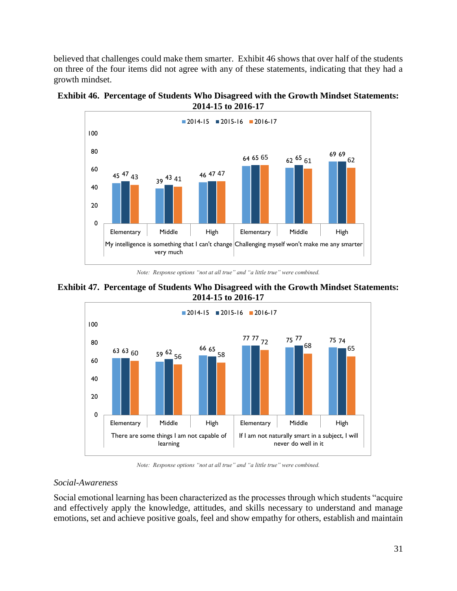believed that challenges could make them smarter. Exhibit 46 shows that over half of the students on three of the four items did not agree with any of these statements, indicating that they had a growth mindset.





*Note: Response options "not at all true" and "a little true" were combined.*





*Note: Response options "not at all true" and "a little true" were combined.*

#### *Social-Awareness*

Social emotional learning has been characterized as the processes through which students "acquire and effectively apply the knowledge, attitudes, and skills necessary to understand and manage emotions, set and achieve positive goals, feel and show empathy for others, establish and maintain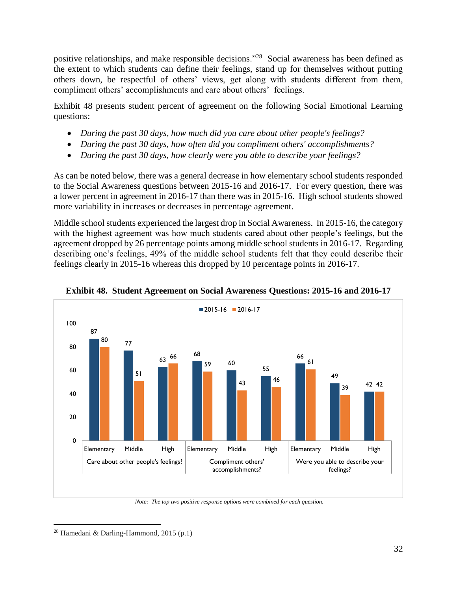positive relationships, and make responsible decisions."<sup>28</sup> Social awareness has been defined as the extent to which students can define their feelings, stand up for themselves without putting others down, be respectful of others' views, get along with students different from them, compliment others' accomplishments and care about others' feelings.

Exhibit 48 presents student percent of agreement on the following Social Emotional Learning questions:

- *During the past 30 days, how much did you care about other people's feelings?*
- *During the past 30 days, how often did you compliment others' accomplishments?*
- *During the past 30 days, how clearly were you able to describe your feelings?*

As can be noted below, there was a general decrease in how elementary school students responded to the Social Awareness questions between 2015-16 and 2016-17. For every question, there was a lower percent in agreement in 2016-17 than there was in 2015-16. High school students showed more variability in increases or decreases in percentage agreement.

Middle school students experienced the largest drop in Social Awareness. In 2015-16, the category with the highest agreement was how much students cared about other people's feelings, but the agreement dropped by 26 percentage points among middle school students in 2016-17. Regarding describing one's feelings, 49% of the middle school students felt that they could describe their feelings clearly in 2015-16 whereas this dropped by 10 percentage points in 2016-17.





*Note: The top two positive response options were combined for each question.*

 $28$  Hamedani & Darling-Hammond, 2015 (p.1)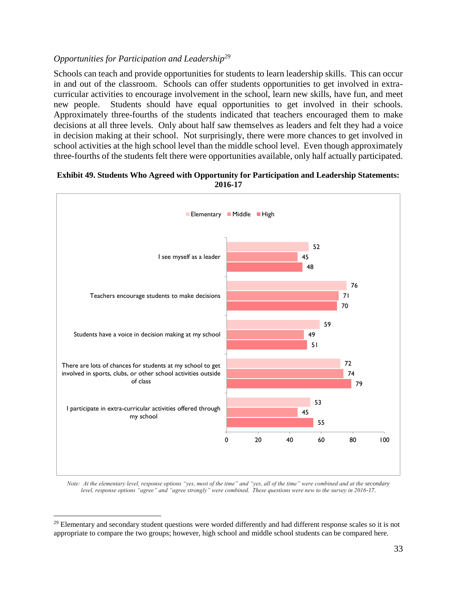# *Opportunities for Participation and Leadership<sup>29</sup>*

Schools can teach and provide opportunities for students to learn leadership skills. This can occur in and out of the classroom. Schools can offer students opportunities to get involved in extracurricular activities to encourage involvement in the school, learn new skills, have fun, and meet new people. Students should have equal opportunities to get involved in their schools. Approximately three-fourths of the students indicated that teachers encouraged them to make decisions at all three levels. Only about half saw themselves as leaders and felt they had a voice in decision making at their school. Not surprisingly, there were more chances to get involved in school activities at the high school level than the middle school level. Even though approximately three-fourths of the students felt there were opportunities available, only half actually participated.

#### **Exhibit 49. Students Who Agreed with Opportunity for Participation and Leadership Statements: 2016-17**



*Note: At the elementary level, response options "yes, most of the time" and "yes, all of the time" were combined and at the secondary level, response options "agree" and "agree strongly" were combined. These questions were new to the survey in 2016-17.*

 $29$  Elementary and secondary student questions were worded differently and had different response scales so it is not appropriate to compare the two groups; however, high school and middle school students can be compared here.